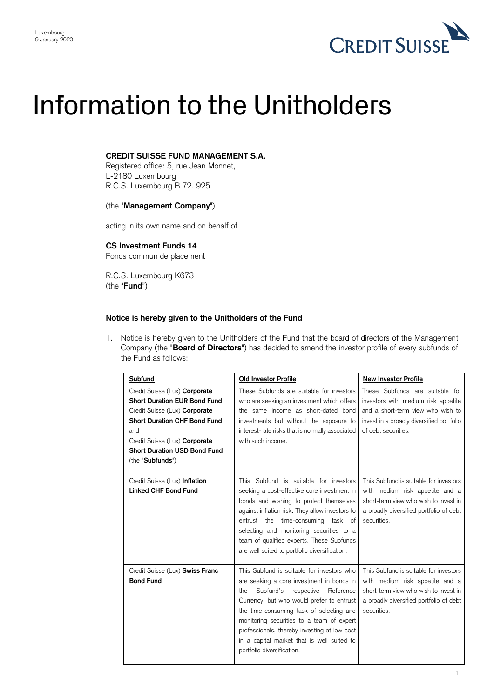

# Information to the Unitholders

### **CREDIT SUISSE FUND MANAGEMENT S.A.**

Registered office: 5, rue Jean Monnet, L-2180 Luxembourg R.C.S. Luxembourg B 72. 925

#### (the "**Management Company**")

acting in its own name and on behalf of

## **CS Investment Funds 14**

Fonds commun de placement

R.C.S. Luxembourg K673 (the "**Fund**")

#### **Notice is hereby given to the Unitholders of the Fund**

1. Notice is hereby given to the Unitholders of the Fund that the board of directors of the Management Company (the "**Board of Directors**") has decided to amend the investor profile of every subfunds of the Fund as follows:

| Subfund                                                                                                                                                                                                                                   | <b>Old Investor Profile</b>                                                                                                                                                                                                                                                                                                                                                                              | <b>New Investor Profile</b>                                                                                                                                                     |
|-------------------------------------------------------------------------------------------------------------------------------------------------------------------------------------------------------------------------------------------|----------------------------------------------------------------------------------------------------------------------------------------------------------------------------------------------------------------------------------------------------------------------------------------------------------------------------------------------------------------------------------------------------------|---------------------------------------------------------------------------------------------------------------------------------------------------------------------------------|
| Credit Suisse (Lux) Corporate<br>Short Duration EUR Bond Fund,<br>Credit Suisse (Lux) Corporate<br><b>Short Duration CHF Bond Fund</b><br>and<br>Credit Suisse (Lux) Corporate<br><b>Short Duration USD Bond Fund</b><br>(the "Subfunds") | These Subfunds are suitable for investors<br>who are seeking an investment which offers<br>the same income as short-dated bond<br>investments but without the exposure to<br>interest-rate risks that is normally associated<br>with such income.                                                                                                                                                        | These Subfunds are suitable for<br>investors with medium risk appetite<br>and a short-term view who wish to<br>invest in a broadly diversified portfolio<br>of debt securities. |
| Credit Suisse (Lux) Inflation<br><b>Linked CHF Bond Fund</b>                                                                                                                                                                              | This Subfund is suitable for investors<br>seeking a cost-effective core investment in<br>bonds and wishing to protect themselves<br>against inflation risk. They allow investors to<br>entrust the time-consuming task of<br>selecting and monitoring securities to a<br>team of qualified experts. These Subfunds<br>are well suited to portfolio diversification.                                      | This Subfund is suitable for investors<br>with medium risk appetite and a<br>short-term view who wish to invest in<br>a broadly diversified portfolio of debt<br>securities.    |
| Credit Suisse (Lux) Swiss Franc<br><b>Bond Fund</b>                                                                                                                                                                                       | This Subfund is suitable for investors who<br>are seeking a core investment in bonds in<br>Subfund's<br>Reference<br>respective<br>the<br>Currency, but who would prefer to entrust<br>the time-consuming task of selecting and<br>monitoring securities to a team of expert<br>professionals, thereby investing at low cost<br>in a capital market that is well suited to<br>portfolio diversification. | This Subfund is suitable for investors<br>with medium risk appetite and a<br>short-term view who wish to invest in<br>a broadly diversified portfolio of debt<br>securities.    |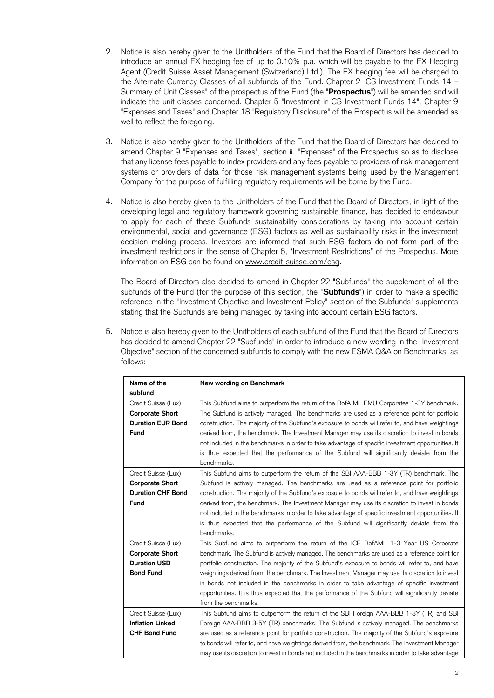- 2. Notice is also hereby given to the Unitholders of the Fund that the Board of Directors has decided to introduce an annual FX hedging fee of up to 0.10% p.a. which will be payable to the FX Hedging Agent (Credit Suisse Asset Management (Switzerland) Ltd.). The FX hedging fee will be charged to the Alternate Currency Classes of all subfunds of the Fund. Chapter 2 "CS Investment Funds 14 – Summary of Unit Classes" of the prospectus of the Fund (the "**Prospectus**") will be amended and will indicate the unit classes concerned. Chapter 5 "Investment in CS Investment Funds 14", Chapter 9 "Expenses and Taxes" and Chapter 18 "Regulatory Disclosure" of the Prospectus will be amended as well to reflect the foregoing.
- 3. Notice is also hereby given to the Unitholders of the Fund that the Board of Directors has decided to amend Chapter 9 "Expenses and Taxes", section ii. "Expenses" of the Prospectus so as to disclose that any license fees payable to index providers and any fees payable to providers of risk management systems or providers of data for those risk management systems being used by the Management Company for the purpose of fulfilling regulatory requirements will be borne by the Fund.
- 4. Notice is also hereby given to the Unitholders of the Fund that the Board of Directors, in light of the developing legal and regulatory framework governing sustainable finance, has decided to endeavour to apply for each of these Subfunds sustainability considerations by taking into account certain environmental, social and governance (ESG) factors as well as sustainability risks in the investment decision making process. Investors are informed that such ESG factors do not form part of the investment restrictions in the sense of Chapter 6, "Investment Restrictions" of the Prospectus. More information on ESG can be found on [www.credit-suisse.com/esg.](http://www.credit-suisse.com/esg)

The Board of Directors also decided to amend in Chapter 22 "Subfunds" the supplement of all the subfunds of the Fund (for the purpose of this section, the "**Subfunds**") in order to make a specific reference in the "Investment Objective and Investment Policy" section of the Subfunds' supplements stating that the Subfunds are being managed by taking into account certain ESG factors.

5. Notice is also hereby given to the Unitholders of each subfund of the Fund that the Board of Directors has decided to amend Chapter 22 "Subfunds" in order to introduce a new wording in the "Investment Objective" section of the concerned subfunds to comply with the new ESMA Q&A on Benchmarks, as follows:

| Name of the              | New wording on Benchmark                                                                            |
|--------------------------|-----------------------------------------------------------------------------------------------------|
| subfund                  |                                                                                                     |
| Credit Suisse (Lux)      | This Subfund aims to outperform the return of the BofA ML EMU Corporates 1-3Y benchmark.            |
| <b>Corporate Short</b>   | The Subfund is actively managed. The benchmarks are used as a reference point for portfolio         |
| <b>Duration EUR Bond</b> | construction. The majority of the Subfund's exposure to bonds will refer to, and have weightings    |
| Fund                     | derived from, the benchmark. The Investment Manager may use its discretion to invest in bonds       |
|                          | not included in the benchmarks in order to take advantage of specific investment opportunities. It  |
|                          | is thus expected that the performance of the Subfund will significantly deviate from the            |
|                          | benchmarks.                                                                                         |
| Credit Suisse (Lux)      | This Subfund aims to outperform the return of the SBI AAA-BBB 1-3Y (TR) benchmark. The              |
| <b>Corporate Short</b>   | Subfund is actively managed. The benchmarks are used as a reference point for portfolio             |
| <b>Duration CHF Bond</b> | construction. The majority of the Subfund's exposure to bonds will refer to, and have weightings    |
| Fund                     | derived from, the benchmark. The Investment Manager may use its discretion to invest in bonds       |
|                          | not included in the benchmarks in order to take advantage of specific investment opportunities. It  |
|                          | is thus expected that the performance of the Subfund will significantly deviate from the            |
|                          | benchmarks.                                                                                         |
| Credit Suisse (Lux)      | This Subfund aims to outperform the return of the ICE BofAML 1-3 Year US Corporate                  |
| <b>Corporate Short</b>   | benchmark. The Subfund is actively managed. The benchmarks are used as a reference point for        |
| <b>Duration USD</b>      | portfolio construction. The majority of the Subfund's exposure to bonds will refer to, and have     |
| <b>Bond Fund</b>         | weightings derived from, the benchmark. The Investment Manager may use its discretion to invest     |
|                          | in bonds not included in the benchmarks in order to take advantage of specific investment           |
|                          | opportunities. It is thus expected that the performance of the Subfund will significantly deviate   |
|                          | from the benchmarks.                                                                                |
| Credit Suisse (Lux)      | This Subfund aims to outperform the return of the SBI Foreign AAA-BBB 1-3Y (TR) and SBI             |
| <b>Inflation Linked</b>  | Foreign AAA-BBB 3-5Y (TR) benchmarks. The Subfund is actively managed. The benchmarks               |
| <b>CHF Bond Fund</b>     | are used as a reference point for portfolio construction. The majority of the Subfund's exposure    |
|                          | to bonds will refer to, and have weightings derived from, the benchmark. The Investment Manager     |
|                          | may use its discretion to invest in bonds not included in the benchmarks in order to take advantage |